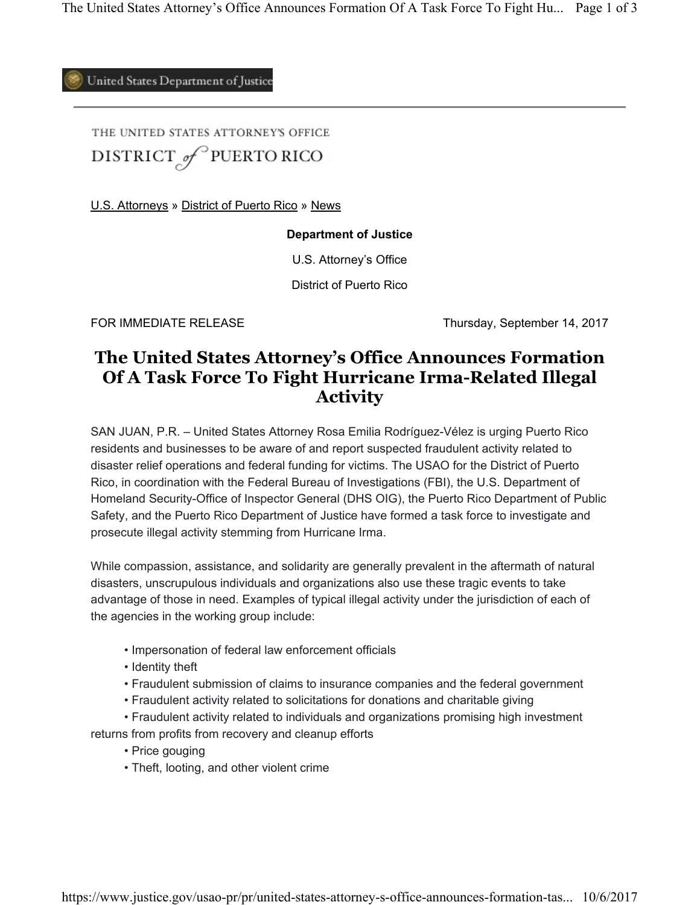United States Department of Justice

THE UNITED STATES ATTORNEY'S OFFICE DISTRICT of PUERTO RICO

U.S. Attorneys » District of Puerto Rico » News

## **Department of Justice**

U.S. Attorney's Office

District of Puerto Rico

FOR IMMEDIATE RELEASE Thursday, September 14, 2017

## **The United States Attorney's Office Announces Formation Of A Task Force To Fight Hurricane Irma-Related Illegal Activity**

SAN JUAN, P.R. – United States Attorney Rosa Emilia Rodríguez-Vélez is urging Puerto Rico residents and businesses to be aware of and report suspected fraudulent activity related to disaster relief operations and federal funding for victims. The USAO for the District of Puerto Rico, in coordination with the Federal Bureau of Investigations (FBI), the U.S. Department of Homeland Security-Office of Inspector General (DHS OIG), the Puerto Rico Department of Public Safety, and the Puerto Rico Department of Justice have formed a task force to investigate and prosecute illegal activity stemming from Hurricane Irma.

 advantage of those in need. Examples of typical illegal activity under the jurisdiction of each of the agencies in the working group include: While compassion, assistance, and solidarity are generally prevalent in the aftermath of natural disasters, unscrupulous individuals and organizations also use these tragic events to take

- Impersonation of federal law enforcement officials
- Identity theft
- Fraudulent submission of claims to insurance companies and the federal government
- Fraudulent activity related to solicitations for donations and charitable giving
- Fraudulent activity related to individuals and organizations promising high investment

returns from profits from recovery and cleanup efforts

- Price gouging
- Theft, looting, and other violent crime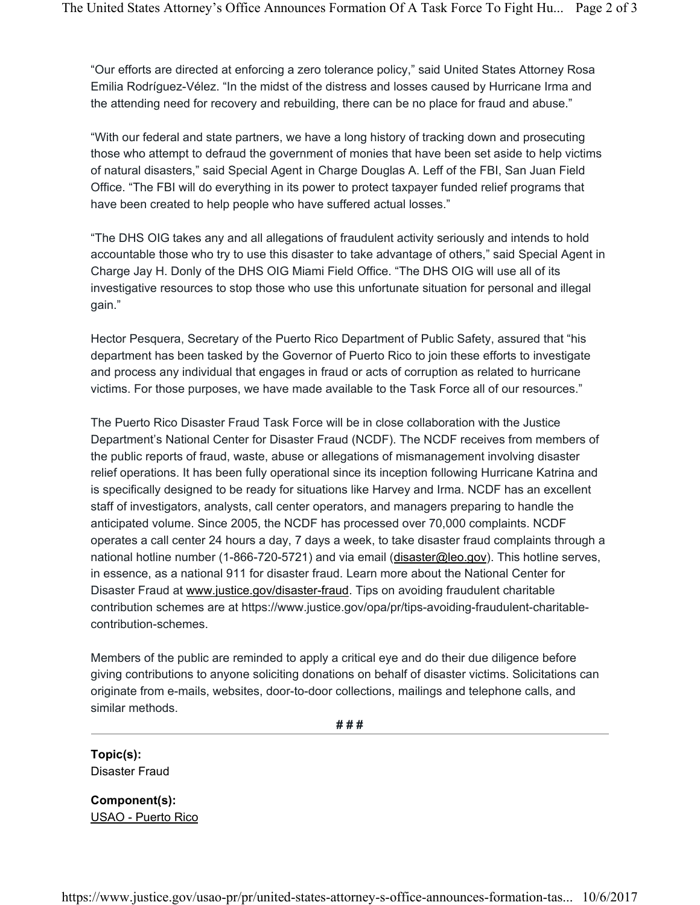"Our efforts are directed at enforcing a zero tolerance policy," said United States Attorney Rosa the attending need for recovery and rebuilding, there can be no place for fraud and abuse." Emilia Rodríguez-Vélez. "In the midst of the distress and losses caused by Hurricane Irma and

 "With our federal and state partners, we have a long history of tracking down and prosecuting those who attempt to defraud the government of monies that have been set aside to help victims have been created to help people who have suffered actual losses." of natural disasters," said Special Agent in Charge Douglas A. Leff of the FBI, San Juan Field Office. "The FBI will do everything in its power to protect taxpayer funded relief programs that

"The DHS OIG takes any and all allegations of fraudulent activity seriously and intends to hold accountable those who try to use this disaster to take advantage of others," said Special Agent in Charge Jay H. Donly of the DHS OIG Miami Field Office. "The DHS OIG will use all of its investigative resources to stop those who use this unfortunate situation for personal and illegal gain."

Hector Pesquera, Secretary of the Puerto Rico Department of Public Safety, assured that "his department has been tasked by the Governor of Puerto Rico to join these efforts to investigate and process any individual that engages in fraud or acts of corruption as related to hurricane victims. For those purposes, we have made available to the Task Force all of our resources."

 is specifically designed to be ready for situations like Harvey and Irma. NCDF has an excellent staff of investigators, analysts, call center operators, and managers preparing to handle the in essence, as a national 911 for disaster fraud. Learn more about the National Center for The Puerto Rico Disaster Fraud Task Force will be in close collaboration with the Justice Department's National Center for Disaster Fraud (NCDF). The NCDF receives from members of the public reports of fraud, waste, abuse or allegations of mismanagement involving disaster relief operations. It has been fully operational since its inception following Hurricane Katrina and anticipated volume. Since 2005, the NCDF has processed over 70,000 complaints. NCDF operates a call center 24 hours a day, 7 days a week, to take disaster fraud complaints through a national hotline number (1-866-720-5721) and via email (disaster@leo.gov). This hotline serves, Disaster Fraud at www.justice.gov/disaster-fraud. Tips on avoiding fraudulent charitable contribution schemes are at https://www.justice.gov/opa/pr/tips-avoiding-fraudulent-charitablecontribution-schemes.

 Members of the public are reminded to apply a critical eye and do their due diligence before giving contributions to anyone soliciting donations on behalf of disaster victims. Solicitations can originate from e-mails, websites, door-to-door collections, mailings and telephone calls, and similar methods.

**# # #** 

**Topic(s):**  Disaster Fraud

**Component(s):**  USAO - Puerto Rico